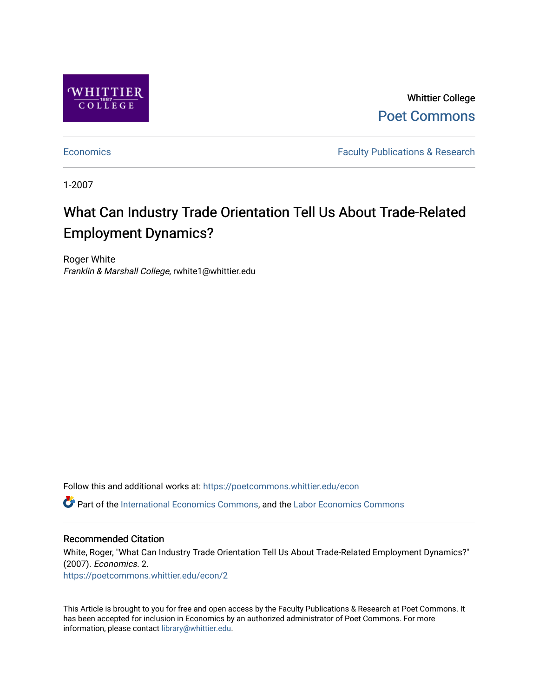

Whittier College [Poet Commons](https://poetcommons.whittier.edu/) 

[Economics](https://poetcommons.whittier.edu/econ) **Faculty Publications & Research** 

1-2007

# What Can Industry Trade Orientation Tell Us About Trade-Related Employment Dynamics?

Roger White Franklin & Marshall College, rwhite1@whittier.edu

Follow this and additional works at: [https://poetcommons.whittier.edu/econ](https://poetcommons.whittier.edu/econ?utm_source=poetcommons.whittier.edu%2Fecon%2F2&utm_medium=PDF&utm_campaign=PDFCoverPages) Part of the [International Economics Commons,](http://network.bepress.com/hgg/discipline/348?utm_source=poetcommons.whittier.edu%2Fecon%2F2&utm_medium=PDF&utm_campaign=PDFCoverPages) and the [Labor Economics Commons](http://network.bepress.com/hgg/discipline/349?utm_source=poetcommons.whittier.edu%2Fecon%2F2&utm_medium=PDF&utm_campaign=PDFCoverPages) 

#### Recommended Citation

White, Roger, "What Can Industry Trade Orientation Tell Us About Trade-Related Employment Dynamics?" (2007). Economics. 2. [https://poetcommons.whittier.edu/econ/2](https://poetcommons.whittier.edu/econ/2?utm_source=poetcommons.whittier.edu%2Fecon%2F2&utm_medium=PDF&utm_campaign=PDFCoverPages) 

This Article is brought to you for free and open access by the Faculty Publications & Research at Poet Commons. It has been accepted for inclusion in Economics by an authorized administrator of Poet Commons. For more information, please contact [library@whittier.edu.](mailto:library@whittier.edu)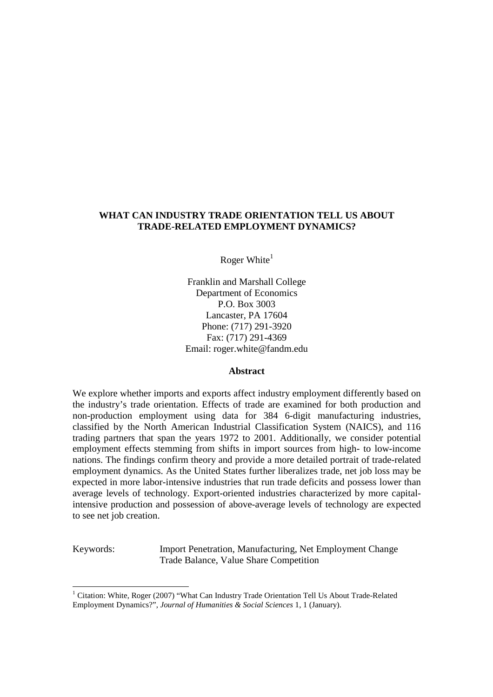# **WHAT CAN INDUSTRY TRADE ORIENTATION TELL US ABOUT TRADE-RELATED EMPLOYMENT DYNAMICS?**

Roger White $<sup>1</sup>$ </sup>

Franklin and Marshall College Department of Economics P.O. Box 3003 Lancaster, PA 17604 Phone: (717) 291-3920 Fax: (717) 291-4369 Email: roger.white@fandm.edu

#### **Abstract**

We explore whether imports and exports affect industry employment differently based on the industry's trade orientation. Effects of trade are examined for both production and non-production employment using data for 384 6-digit manufacturing industries, classified by the North American Industrial Classification System (NAICS), and 116 trading partners that span the years 1972 to 2001. Additionally, we consider potential employment effects stemming from shifts in import sources from high- to low-income nations. The findings confirm theory and provide a more detailed portrait of trade-related employment dynamics. As the United States further liberalizes trade, net job loss may be expected in more labor-intensive industries that run trade deficits and possess lower than average levels of technology. Export-oriented industries characterized by more capitalintensive production and possession of above-average levels of technology are expected to see net job creation.

Keywords: Import Penetration, Manufacturing, Net Employment Change Trade Balance, Value Share Competition

<u>.</u>

<sup>&</sup>lt;sup>1</sup> Citation: White, Roger (2007) "What Can Industry Trade Orientation Tell Us About Trade-Related Employment Dynamics?", *Journal of Humanities & Social Sciences* 1, 1 (January).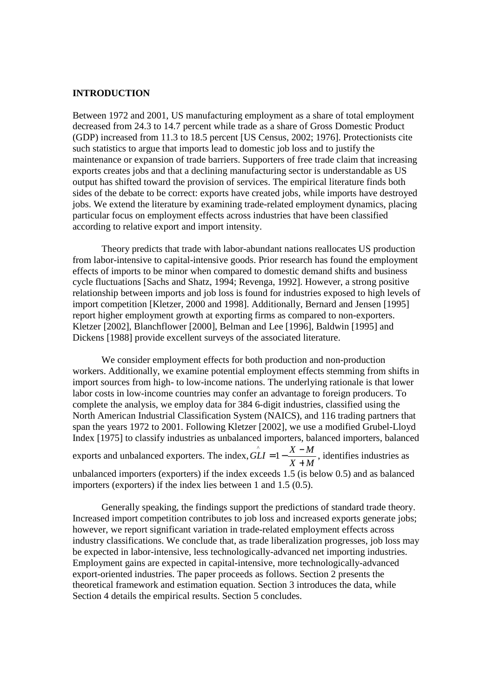#### **INTRODUCTION**

Between 1972 and 2001, US manufacturing employment as a share of total employment decreased from 24.3 to 14.7 percent while trade as a share of Gross Domestic Product (GDP) increased from 11.3 to 18.5 percent [US Census, 2002; 1976]. Protectionists cite such statistics to argue that imports lead to domestic job loss and to justify the maintenance or expansion of trade barriers. Supporters of free trade claim that increasing exports creates jobs and that a declining manufacturing sector is understandable as US output has shifted toward the provision of services. The empirical literature finds both sides of the debate to be correct: exports have created jobs, while imports have destroyed jobs. We extend the literature by examining trade-related employment dynamics, placing particular focus on employment effects across industries that have been classified according to relative export and import intensity.

Theory predicts that trade with labor-abundant nations reallocates US production from labor-intensive to capital-intensive goods. Prior research has found the employment effects of imports to be minor when compared to domestic demand shifts and business cycle fluctuations [Sachs and Shatz, 1994; Revenga, 1992]. However, a strong positive relationship between imports and job loss is found for industries exposed to high levels of import competition [Kletzer, 2000 and 1998]. Additionally, Bernard and Jensen [1995] report higher employment growth at exporting firms as compared to non-exporters. Kletzer [2002], Blanchflower [2000], Belman and Lee [1996], Baldwin [1995] and Dickens [1988] provide excellent surveys of the associated literature.

We consider employment effects for both production and non-production workers. Additionally, we examine potential employment effects stemming from shifts in import sources from high- to low-income nations. The underlying rationale is that lower labor costs in low-income countries may confer an advantage to foreign producers. To complete the analysis, we employ data for 384 6-digit industries, classified using the North American Industrial Classification System (NAICS), and 116 trading partners that span the years 1972 to 2001. Following Kletzer [2002], we use a modified Grubel-Lloyd Index [1975] to classify industries as unbalanced importers, balanced importers, balanced exports and unbalanced exporters. The index, *X M*  $G\angle LI = 1 - \frac{X - M}{X}$ +  $\hat{L}I = 1 - \frac{X - M}{X - X}$ , identifies industries as unbalanced importers (exporters) if the index exceeds 1.5 (is below 0.5) and as balanced importers (exporters) if the index lies between 1 and 1.5 (0.5).

Generally speaking, the findings support the predictions of standard trade theory. Increased import competition contributes to job loss and increased exports generate jobs; however, we report significant variation in trade-related employment effects across industry classifications. We conclude that, as trade liberalization progresses, job loss may be expected in labor-intensive, less technologically-advanced net importing industries. Employment gains are expected in capital-intensive, more technologically-advanced export-oriented industries. The paper proceeds as follows. Section 2 presents the theoretical framework and estimation equation. Section 3 introduces the data, while Section 4 details the empirical results. Section 5 concludes.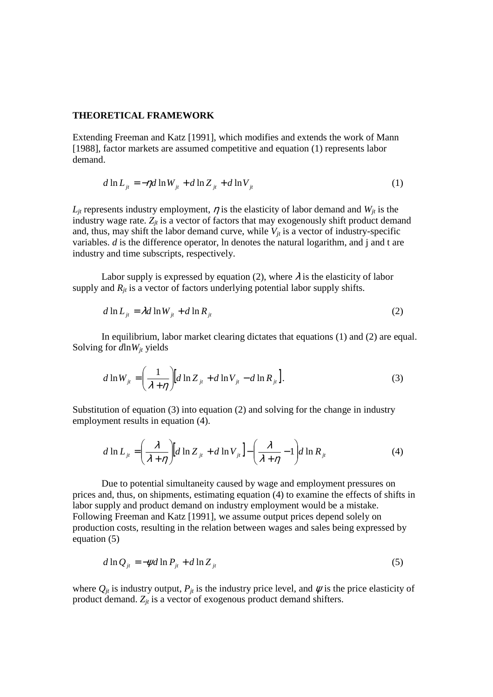#### **THEORETICAL FRAMEWORK**

Extending Freeman and Katz [1991], which modifies and extends the work of Mann [1988], factor markets are assumed competitive and equation (1) represents labor demand.

$$
d \ln L_{it} = -\eta d \ln W_{it} + d \ln Z_{it} + d \ln V_{it}
$$
 (1)

 $L_{it}$  represents industry employment,  $\eta$  is the elasticity of labor demand and  $W_{it}$  is the industry wage rate.  $Z_{jt}$  is a vector of factors that may exogenously shift product demand and, thus, may shift the labor demand curve, while  $V_{it}$  is a vector of industry-specific variables. *d* is the difference operator, ln denotes the natural logarithm, and j and t are industry and time subscripts, respectively.

Labor supply is expressed by equation (2), where  $\lambda$  is the elasticity of labor supply and  $R_{it}$  is a vector of factors underlying potential labor supply shifts.

$$
d \ln L_{it} = \lambda d \ln W_{it} + d \ln R_{it}
$$
 (2)

In equilibrium, labor market clearing dictates that equations (1) and (2) are equal. Solving for *d*ln*Wjt* yields

$$
d \ln W_{jt} = \left(\frac{1}{\lambda + \eta}\right) [d \ln Z_{jt} + d \ln V_{jt} - d \ln R_{jt}].
$$
 (3)

Substitution of equation (3) into equation (2) and solving for the change in industry employment results in equation (4).

$$
d \ln L_{ji} = \left(\frac{\lambda}{\lambda + \eta}\right) \left[d \ln Z_{ji} + d \ln V_{ji}\right] - \left(\frac{\lambda}{\lambda + \eta} - 1\right) d \ln R_{ji}
$$
 (4)

Due to potential simultaneity caused by wage and employment pressures on prices and, thus, on shipments, estimating equation (4) to examine the effects of shifts in labor supply and product demand on industry employment would be a mistake. Following Freeman and Katz [1991], we assume output prices depend solely on production costs, resulting in the relation between wages and sales being expressed by equation (5)

$$
d \ln Q_{it} = -\psi d \ln P_{it} + d \ln Z_{it}
$$
\n<sup>(5)</sup>

where  $Q_{it}$  is industry output,  $P_{it}$  is the industry price level, and  $\psi$  is the price elasticity of product demand. *Zjt* is a vector of exogenous product demand shifters.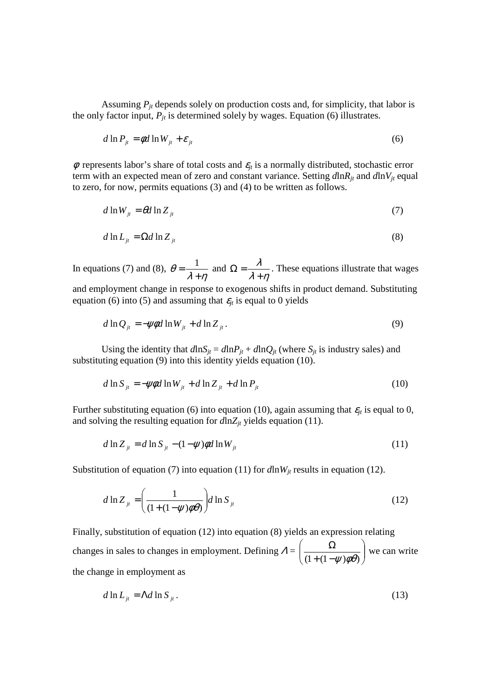Assuming  $P_{it}$  depends solely on production costs and, for simplicity, that labor is the only factor input,  $P_{it}$  is determined solely by wages. Equation (6) illustrates.

$$
d \ln P_{jt} = \phi d \ln W_{jt} + \varepsilon_{jt} \tag{6}
$$

 $\phi$  represents labor's share of total costs and  $\varepsilon_{it}$  is a normally distributed, stochastic error term with an expected mean of zero and constant variance. Setting  $d\ln R_i$  and  $d\ln V_i$  equal to zero, for now, permits equations (3) and (4) to be written as follows.

$$
d \ln W_{it} = \theta d \ln Z_{it} \tag{7}
$$

$$
d \ln L_{ji} = \Omega d \ln Z_{ji} \tag{8}
$$

In equations (7) and (8),  $\lambda + \eta$ θ +  $=\frac{1}{2}$  and  $\lambda + \eta$ λ +  $\Omega = \frac{R}{a}$ . These equations illustrate that wages and employment change in response to exogenous shifts in product demand. Substituting equation (6) into (5) and assuming that  $\varepsilon_{it}$  is equal to 0 yields

$$
d \ln Q_{ji} = -\psi \phi d \ln W_{ji} + d \ln Z_{ji} \,. \tag{9}
$$

Using the identity that  $d\ln S_i = d\ln P_i + d\ln Q_i$  (where  $S_i$  is industry sales) and substituting equation (9) into this identity yields equation (10).

$$
d \ln S_{it} = -\psi \phi d \ln W_{it} + d \ln Z_{it} + d \ln P_{it}
$$
 (10)

Further substituting equation (6) into equation (10), again assuming that  $\varepsilon_{it}$  is equal to 0, and solving the resulting equation for  $d\ln Z_i$  yields equation (11).

$$
d \ln Z_{it} = d \ln S_{it} - (1 - \psi) \phi d \ln W_{it}
$$
\n<sup>(11)</sup>

Substitution of equation (7) into equation (11) for  $d\ln W_{it}$  results in equation (12).

$$
d \ln Z_{ji} = \left(\frac{1}{(1 + (1 - \psi)\phi\theta)}\right) d \ln S_{ji}
$$
 (12)

Finally, substitution of equation (12) into equation (8) yields an expression relating changes in sales to changes in employment. Defining  $\Lambda = \frac{S^2}{(1 + (1 - \mu)^2 \phi^2)}$ J  $\backslash$  $\overline{\phantom{a}}$ l ſ  $+ (1 \Omega$  $(1+(1-\psi)\phi\theta)$  we can write the change in employment as

$$
d \ln L_{it} = \Lambda d \ln S_{it} \,. \tag{13}
$$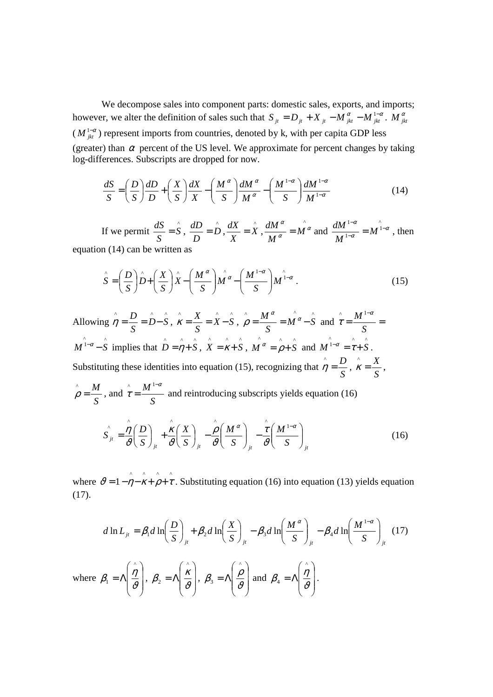We decompose sales into component parts: domestic sales, exports, and imports; however, we alter the definition of sales such that  $S_{it} = D_{it} + X_{it} - M_{it}^{\alpha} - M_{jkt}^{1-\alpha}$ .  $M_{jkt}^{\alpha}$  $(M_{jkt}^{1-\alpha})$  represent imports from countries, denoted by k, with per capita GDP less (greater) than  $\alpha$  percent of the US level. We approximate for percent changes by taking log-differences. Subscripts are dropped for now.

$$
\frac{dS}{S} = \left(\frac{D}{S}\right)\frac{dD}{D} + \left(\frac{X}{S}\right)\frac{dX}{X} - \left(\frac{M^{\alpha}}{S}\right)\frac{dM^{\alpha}}{M^{\alpha}} - \left(\frac{M^{1-\alpha}}{S}\right)\frac{dM^{1-\alpha}}{M^{1-\alpha}}
$$
(14)

If we permit  $\frac{dS}{S} = \hat{S}$ *S*  $\frac{dS}{dS} = \mathbf{S}$ ,  $\frac{dD}{dS} = \mathbf{D}$ *D*  $\frac{dD}{dx} = \hat{D}, \frac{dX}{dx} = \hat{X}$ *X*  $\frac{dX}{dx} = \hat{X}$ , ^<br>• α α  $\frac{\alpha}{r} = M$ *M*  $\frac{dM^{\alpha}}{d\sigma} = M^{\alpha}$  and  $\hat{ }$ <sup>1</sup> 1  $1-\alpha$   $\alpha$ α  $\alpha$   $\alpha$ <sup>1-</sup> − − = *M M*  $\frac{dM^{1-\alpha}}{dx^{1-\alpha}} = M^{1-\alpha}$ , then equation (14) can be written as

$$
\hat{S} = \left(\frac{D}{S}\right)\hat{D} + \left(\frac{X}{S}\right)\hat{X} - \left(\frac{M^{\alpha}}{S}\right)\hat{M^{\alpha}} - \left(\frac{M^{1-\alpha}}{S}\right)M^{\hat{1}-\alpha}.
$$
\n(15)

Allowing  $\hat{\eta} = \frac{D}{g} = \hat{D} - \hat{S}$ *S*  $\hat{\eta} = \frac{D}{g} = \hat{D} - \hat{S}$ ,  $\hat{\kappa} = \frac{X}{g} = \hat{X} - \hat{S}$ *S*  $\hat{\mathbf{x}} = \frac{X}{S} = \hat{\mathbf{X}} - \hat{\mathbf{S}}$ ,  $\wedge$   $M^{\alpha}$   $\wedge$   $\wedge$  $M^{\alpha} - S$ *S*  $\hat{\rho} = \frac{M^{\alpha}}{g} = M^{\alpha} - S$  and  $\hat{\tau} = \frac{M^{1-\alpha}}{g} =$ − *S*  $M^{1-\alpha}$ τ  $\wedge$   $M^1$  $\hat{M}^{\hat{i}-\alpha} - \hat{S}$  implies that  $\hat{D} = \hat{\eta} + \hat{S}$ ,  $\hat{X} = \hat{\kappa} + \hat{S}$ ,  $\wedge$   $\wedge$   $\wedge$  $M^{\alpha} = \rho + S$  and  $M^{\hat{1}-\alpha} = \hat{\tau} + \hat{S}$ . Substituting these identities into equation (15), recognizing that *S*  $\hat{\eta} = \frac{D}{a}$ , *S*  $\hat{\mathcal{K}} = \frac{X}{a},$ *S*  $\rho = \frac{M}{a}$ , and *S*  $M^{1-\alpha}$ τ − =  $\wedge$   $M^{\frac{1}{2}}$  and reintroducing subscripts yields equation (16)  $j^{\mu}$   $\left(\begin{array}{cc} \mathbf{g} \end{array}\right)_{j\mu}$   $\left(\begin{array}{cc} \mathbf{g} \end{array}\right)_{j\mu}$   $\left(\begin{array}{cc} \mathbf{g} \end{array}\right)_{j\mu}$   $\left(\begin{array}{cc} \mathbf{g} \end{array}\right)_{j\mu}$ *M S M S X S*  $S_{jt} = \frac{\eta}{2} \left( \frac{D}{S} \right) + \frac{K}{2} \left( \frac{X}{S} \right) - \frac{\rho}{2} \left( \frac{M^{\alpha}}{S} \right) - \frac{\tau}{2} \left( \frac{M^{1-\alpha}}{S} \right)$ J  $\backslash$  $\overline{\phantom{a}}$ l ſ ∣ − J  $\backslash$  $\overline{\phantom{a}}$ l ſ | − J  $\left(\frac{X}{\cdot}\right)$ l  $+\frac{\kappa}{2}$ J  $\left(\frac{D}{a}\right)$ l ſ =  $\alpha$   $\alpha$   $\alpha$   $\alpha$  $\vartheta$ τ  $\vartheta$ ρ  $\vartheta$ κ  $\vartheta$  $\hat{\eta}(D) = \hat{k}(X) - \hat{\rho}(M^{\alpha}) - \hat{\tau}(M^{\alpha})$ (16)

where  $\hat{v} = 1 - \hat{\vec{n}} - \hat{k} + \hat{j} + \hat{k}$ . Substituting equation (16) into equation (13) yields equation (17).

$$
d \ln L_{ji} = \beta_1 d \ln \left(\frac{D}{S}\right)_{ji} + \beta_2 d \ln \left(\frac{X}{S}\right)_{ji} - \beta_3 d \ln \left(\frac{M^{\alpha}}{S}\right)_{ji} - \beta_4 d \ln \left(\frac{M^{1-\alpha}}{S}\right)_{ji}
$$
 (17)  
where  $\beta_1 = \Lambda \left(\frac{\hat{\eta}}{\vartheta}\right), \ \beta_2 = \Lambda \left(\frac{\hat{\kappa}}{\vartheta}\right), \ \beta_3 = \Lambda \left(\frac{\hat{\rho}}{\vartheta}\right)$  and  $\beta_4 = \Lambda \left(\frac{\hat{\eta}}{\vartheta}\right)$ .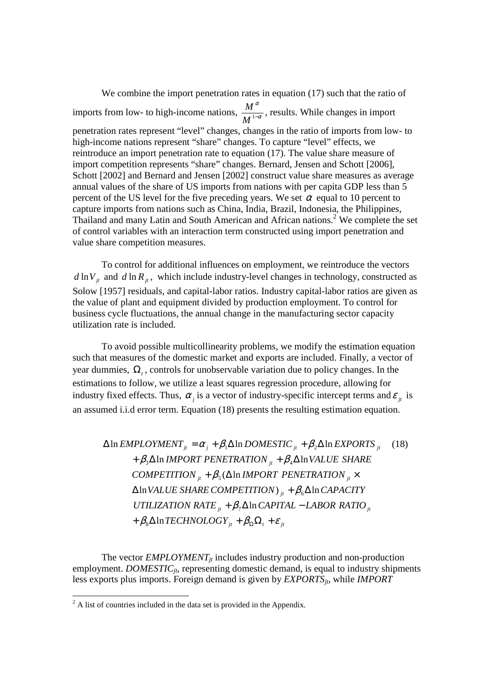We combine the import penetration rates in equation (17) such that the ratio of imports from low- to high-income nations,  $\frac{m}{M}$ α <sup>1</sup><sup>−</sup> *M*  $\frac{M^{\alpha}}{M^{1-\alpha}}$ , results. While changes in import penetration rates represent "level" changes, changes in the ratio of imports from low- to high-income nations represent "share" changes. To capture "level" effects, we reintroduce an import penetration rate to equation (17). The value share measure of import competition represents "share" changes. Bernard, Jensen and Schott [2006], Schott [2002] and Bernard and Jensen [2002] construct value share measures as average annual values of the share of US imports from nations with per capita GDP less than 5 percent of the US level for the five preceding years. We set  $\alpha$  equal to 10 percent to capture imports from nations such as China, India, Brazil, Indonesia, the Philippines, Thailand and many Latin and South American and African nations.<sup>2</sup> We complete the set of control variables with an interaction term constructed using import penetration and value share competition measures.

To control for additional influences on employment, we reintroduce the vectors  $d \ln V_i$  and  $d \ln R_i$ , which include industry-level changes in technology, constructed as Solow [1957] residuals, and capital-labor ratios. Industry capital-labor ratios are given as the value of plant and equipment divided by production employment. To control for business cycle fluctuations, the annual change in the manufacturing sector capacity utilization rate is included.

To avoid possible multicollinearity problems, we modify the estimation equation such that measures of the domestic market and exports are included. Finally, a vector of year dummies,  $\Omega$ <sub>t</sub>, controls for unobservable variation due to policy changes. In the estimations to follow, we utilize a least squares regression procedure, allowing for industry fixed effects. Thus,  $\alpha_j$  is a vector of industry-specific intercept terms and  $\varepsilon_{j_t}$  is an assumed i.i.d error term. Equation (18) presents the resulting estimation equation.

 $\Delta \ln$  *EMPLOYMENT*<sub>*jt*</sub> =  $\alpha_j + \beta_1 \Delta \ln$  *DOMESTIC*<sub>*jt*</sub> +  $\beta_2 \Delta \ln$  *EXPORTS*<sub>*jt*</sub> (18)  $+ \beta_3 \Delta \ln \text{IMPORT PENETRATION}_{it} + \beta_4 \Delta \ln \text{VALUE SHARE}$ *COMPETITION*  ${}_{it}$  +  $\beta$ <sub>5</sub>( $\Delta$  *ln IMPORT PENETRATION*  ${}_{it}$  × ∆ln*VALUE SHARECOMPETITION*) *jt* + β <sup>6</sup>∆ln*CAPACITY UTILIZATION RATE*  $i_t + \beta_7 \Delta \ln CAPITAL - LABOR RATIO_i$  $\beta_{\rm g} \Delta \ln TECH NOLOGY_{\rm jt} + \beta_{\rm \Omega} \Omega_{\rm t} + \varepsilon_{\rm jt}$ 

The vector *EMPLOYMENT<sub>jt</sub>* includes industry production and non-production employment. *DOMESTIC<sub>it</sub>*, representing domestic demand, is equal to industry shipments less exports plus imports. Foreign demand is given by *EXPORTSjt*, while *IMPORT* 

<sup>&</sup>lt;sup>2</sup> A list of countries included in the data set is provided in the Appendix.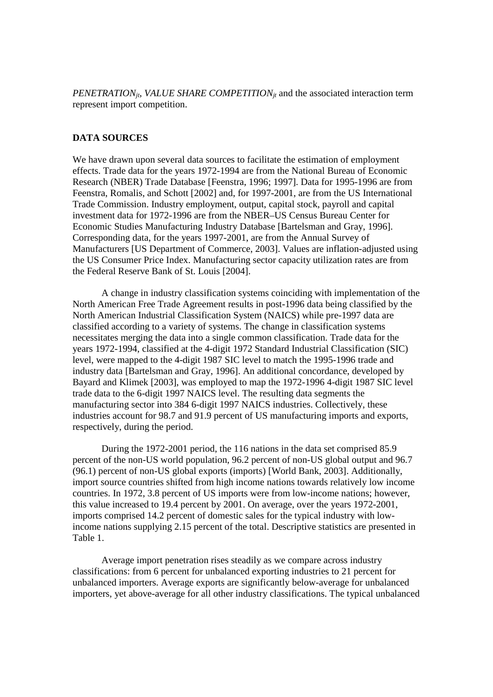*PENETRATIONjt*, *VALUE SHARE COMPETITIONjt* and the associated interaction term represent import competition.

## **DATA SOURCES**

We have drawn upon several data sources to facilitate the estimation of employment effects. Trade data for the years 1972-1994 are from the National Bureau of Economic Research (NBER) Trade Database [Feenstra, 1996; 1997]. Data for 1995-1996 are from Feenstra, Romalis, and Schott [2002] and, for 1997-2001, are from the US International Trade Commission. Industry employment, output, capital stock, payroll and capital investment data for 1972-1996 are from the NBER–US Census Bureau Center for Economic Studies Manufacturing Industry Database [Bartelsman and Gray, 1996]. Corresponding data, for the years 1997-2001, are from the Annual Survey of Manufacturers [US Department of Commerce, 2003]. Values are inflation-adjusted using the US Consumer Price Index. Manufacturing sector capacity utilization rates are from the Federal Reserve Bank of St. Louis [2004].

A change in industry classification systems coinciding with implementation of the North American Free Trade Agreement results in post-1996 data being classified by the North American Industrial Classification System (NAICS) while pre-1997 data are classified according to a variety of systems. The change in classification systems necessitates merging the data into a single common classification. Trade data for the years 1972-1994, classified at the 4-digit 1972 Standard Industrial Classification (SIC) level, were mapped to the 4-digit 1987 SIC level to match the 1995-1996 trade and industry data [Bartelsman and Gray, 1996]. An additional concordance, developed by Bayard and Klimek [2003], was employed to map the 1972-1996 4-digit 1987 SIC level trade data to the 6-digit 1997 NAICS level. The resulting data segments the manufacturing sector into 384 6-digit 1997 NAICS industries. Collectively, these industries account for 98.7 and 91.9 percent of US manufacturing imports and exports, respectively, during the period.

During the 1972-2001 period, the 116 nations in the data set comprised 85.9 percent of the non-US world population, 96.2 percent of non-US global output and 96.7 (96.1) percent of non-US global exports (imports) [World Bank, 2003]. Additionally, import source countries shifted from high income nations towards relatively low income countries. In 1972, 3.8 percent of US imports were from low-income nations; however, this value increased to 19.4 percent by 2001. On average, over the years 1972-2001, imports comprised 14.2 percent of domestic sales for the typical industry with lowincome nations supplying 2.15 percent of the total. Descriptive statistics are presented in Table 1.

Average import penetration rises steadily as we compare across industry classifications: from 6 percent for unbalanced exporting industries to 21 percent for unbalanced importers. Average exports are significantly below-average for unbalanced importers, yet above-average for all other industry classifications. The typical unbalanced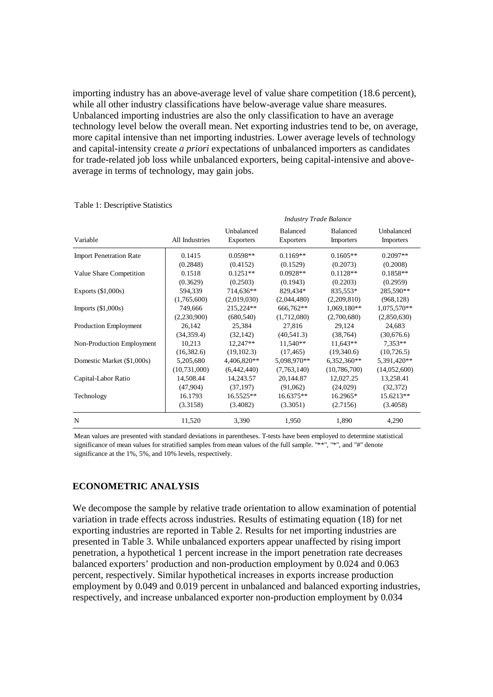importing industry has an above-average level of value share competition (18.6 percent), while all other industry classifications have below-average value share measures. Unbalanced importing industries are also the only classification to have an average technology level below the overall mean. Net exporting industries tend to be, on average, more capital intensive than net importing industries. Lower average levels of technology and capital-intensity create *a priori* expectations of unbalanced importers as candidates for trade-related job loss while unbalanced exporters, being capital-intensive and aboveaverage in terms of technology, may gain jobs.

|                                |                | <b>Industry Trade Balance</b>  |                                     |                              |                                |  |  |
|--------------------------------|----------------|--------------------------------|-------------------------------------|------------------------------|--------------------------------|--|--|
| Variable                       | All Industries | Unbalanced<br><b>Exporters</b> | <b>Balanced</b><br><b>Exporters</b> | <b>Balanced</b><br>Importers | Unbalanced<br><b>Importers</b> |  |  |
| <b>Import Penetration Rate</b> | 0.1415         | $0.0598**$                     | $0.1169**$                          | $0.1605**$                   | $0.2097**$                     |  |  |
|                                | (0.2848)       | (0.4152)                       | (0.1529)                            | (0.2073)                     | (0.2008)                       |  |  |
| Value Share Competition        | 0.1518         | $0.1251**$                     | $0.0928**$                          | $0.1128**$                   | $0.1858**$                     |  |  |
|                                | (0.3629)       | (0.2503)                       | (0.1943)                            | (0.2203)                     | (0.2959)                       |  |  |
| Exports $(\$1,000s)$           | 594,339        | 714,636**                      | 829,434*                            | 835,553*                     | 285,590**                      |  |  |
|                                | (1,765,600)    | (2,019,030)                    | (2,044,480)                         | (2,209,810)                  | (968, 128)                     |  |  |
| Imports $(\$1,000s)$           | 749,666        | 215,224**                      | 666,762**                           | 1,069,180**                  | 1,075,570**                    |  |  |
|                                | (2,230,900)    | (680, 540)                     | (1,712,080)                         | (2,700,680)                  | (2,850,630)                    |  |  |
| Production Employment          | 26,142         | 25,384                         | 27,816                              | 29,124                       | 24,683                         |  |  |
|                                | (34, 359.4)    | (32, 142)                      | (40, 541.3)                         | (38, 764)                    | (30,676.6)                     |  |  |
| Non-Production Employment      | 10,213         | $12,247**$                     | 11,540**                            | $11,643**$                   | $7.353**$                      |  |  |
|                                | (16, 382.6)    | (19, 102.3)                    | (17, 465)                           | (19,340.6)                   | (10, 726.5)                    |  |  |
| Domestic Market (\$1,000s)     | 5,205,680      | 4,406,820**                    | 5,098,970**                         | $6,352,360**$                | 5,391,420**                    |  |  |
|                                | (10, 731, 000) | (6,442,440)                    | (7,763,140)                         | (10, 786, 700)               | (14,052,600)                   |  |  |
| Capital-Labor Ratio            | 14,508.44      | 14,243.57                      | 20,144.87                           | 12,027.25                    | 13,258.41                      |  |  |
|                                | (47,904)       | (37, 197)                      | (91,062)                            | (24,029)                     | (32, 372)                      |  |  |
| Technology                     | 16.1793        | 16.5525**                      | $16.6375**$                         | 16.2965*                     | 15.6213**                      |  |  |
|                                | (3.3158)       | (3.4082)                       | (3.3051)                            | (2.7156)                     | (3.4058)                       |  |  |
| N                              | 11,520         | 3,390                          | 1,950                               | 1,890                        | 4,290                          |  |  |

#### Table 1: Descriptive Statistics

Mean values are presented with standard deviations in parentheses. T-tests have been employed to determine statistical significance of mean values for stratified samples from mean values of the full sample. "\*\*", "\*", and "#" denote significance at the 1%, 5%, and 10% levels, respectively.

## **ECONOMETRIC ANALYSIS**

We decompose the sample by relative trade orientation to allow examination of potential variation in trade effects across industries. Results of estimating equation (18) for net exporting industries are reported in Table 2. Results for net importing industries are presented in Table 3. While unbalanced exporters appear unaffected by rising import penetration, a hypothetical 1 percent increase in the import penetration rate decreases balanced exporters' production and non-production employment by 0.024 and 0.063 percent, respectively. Similar hypothetical increases in exports increase production employment by 0.049 and 0.019 percent in unbalanced and balanced exporting industries, respectively, and increase unbalanced exporter non-production employment by 0.034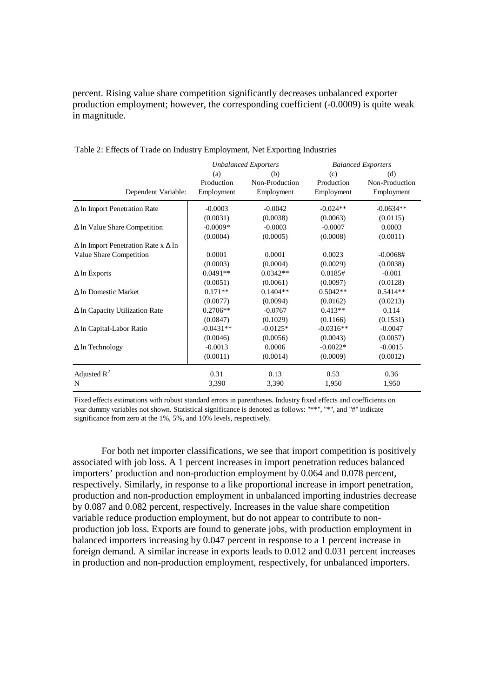percent. Rising value share competition significantly decreases unbalanced exporter production employment; however, the corresponding coefficient (-0.0009) is quite weak in magnitude.

|                                                   | <b>Unbalanced Exporters</b> |                | <b>Balanced Exporters</b> |                |  |
|---------------------------------------------------|-----------------------------|----------------|---------------------------|----------------|--|
|                                                   | (a)                         | (b)            | (c)                       | (d)            |  |
|                                                   | Production                  | Non-Production | Production                | Non-Production |  |
| Dependent Variable:                               | Employment                  | Employment     | Employment                | Employment     |  |
| $\Delta$ In Import Penetration Rate               | $-0.0003$                   | $-0.0042$      | $-0.024**$                | $-0.0634**$    |  |
|                                                   | (0.0031)                    | (0.0038)       | (0.0063)                  | (0.0115)       |  |
| $\Delta$ ln Value Share Competition               | $-0.0009*$                  | $-0.0003$      | $-0.0007$                 | 0.0003         |  |
|                                                   | (0.0004)                    | (0.0005)       | (0.0008)                  | (0.0011)       |  |
| $\Delta$ ln Import Penetration Rate x $\Delta$ ln |                             |                |                           |                |  |
| Value Share Competition                           | 0.0001                      | 0.0001         | 0.0023                    | $-0.0068#$     |  |
|                                                   | (0.0003)                    | (0.0004)       | (0.0029)                  | (0.0038)       |  |
| $\Delta$ ln Exports                               | $0.0491**$                  | $0.0342**$     | 0.0185#                   | $-0.001$       |  |
|                                                   | (0.0051)                    | (0.0061)       | (0.0097)                  | (0.0128)       |  |
| A In Domestic Market                              | $0.171**$                   | $0.1404**$     | $0.5042**$                | $0.5414**$     |  |
|                                                   | (0.0077)                    | (0.0094)       | (0.0162)                  | (0.0213)       |  |
| $\Delta$ ln Capacity Utilization Rate             | $0.2706**$                  | $-0.0767$      | $0.413**$                 | 0.114          |  |
|                                                   | (0.0847)                    | (0.1029)       | (0.1166)                  | (0.1531)       |  |
| $\Delta$ ln Capital-Labor Ratio                   | $-0.0431**$                 | $-0.0125*$     | $-0.0316**$               | $-0.0047$      |  |
|                                                   | (0.0046)                    | (0.0056)       | (0.0043)                  | (0.0057)       |  |
| $\Delta$ ln Technology                            | $-0.0013$                   | 0.0006         | $-0.0022*$                | $-0.0015$      |  |
|                                                   | (0.0011)                    | (0.0014)       | (0.0009)                  | (0.0012)       |  |
| Adjusted $R^2$                                    | 0.31                        | 0.13           | 0.53                      | 0.36           |  |
| N                                                 | 3,390                       | 3,390          | 1,950                     | 1,950          |  |

Table 2: Effects of Trade on Industry Employment, Net Exporting Industries

Fixed effects estimations with robust standard errors in parentheses. Industry fixed effects and coefficients on year dummy variables not shown. Statistical significance is denoted as follows: "\*\*", "\*", and "#" indicate significance from zero at the 1%, 5%, and 10% levels, respectively.

For both net importer classifications, we see that import competition is positively associated with job loss. A 1 percent increases in import penetration reduces balanced importers' production and non-production employment by 0.064 and 0.078 percent, respectively. Similarly, in response to a like proportional increase in import penetration, production and non-production employment in unbalanced importing industries decrease by 0.087 and 0.082 percent, respectively. Increases in the value share competition variable reduce production employment, but do not appear to contribute to nonproduction job loss. Exports are found to generate jobs, with production employment in balanced importers increasing by 0.047 percent in response to a 1 percent increase in foreign demand. A similar increase in exports leads to 0.012 and 0.031 percent increases in production and non-production employment, respectively, for unbalanced importers.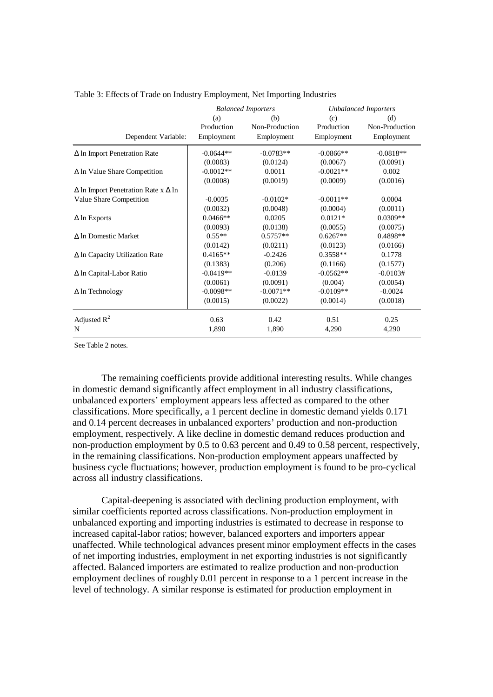|                                                   | <b>Balanced Importers</b> |                | <b>Unbalanced Importers</b> |                |
|---------------------------------------------------|---------------------------|----------------|-----------------------------|----------------|
|                                                   | (a)                       | (b)            | (c)                         | (d)            |
|                                                   | Production                | Non-Production | Production                  | Non-Production |
| Dependent Variable:                               | Employment                | Employment     | Employment                  | Employment     |
| $\Delta$ In Import Penetration Rate               | $-0.0644**$               | $-0.0783**$    | $-0.0866**$                 | $-0.0818**$    |
|                                                   | (0.0083)                  | (0.0124)       | (0.0067)                    | (0.0091)       |
| $\Delta$ ln Value Share Competition               | $-0.0012**$               | 0.0011         | $-0.0021**$                 | 0.002          |
|                                                   | (0.0008)                  | (0.0019)       | (0.0009)                    | (0.0016)       |
| $\Delta$ ln Import Penetration Rate x $\Delta$ ln |                           |                |                             |                |
| Value Share Competition                           | $-0.0035$                 | $-0.0102*$     | $-0.0011**$                 | 0.0004         |
|                                                   | (0.0032)                  | (0.0048)       | (0.0004)                    | (0.0011)       |
| $\Delta$ ln Exports                               | $0.0466**$                | 0.0205         | $0.0121*$                   | $0.0309**$     |
|                                                   | (0.0093)                  | (0.0138)       | (0.0055)                    | (0.0075)       |
| $\Delta$ ln Domestic Market                       | $0.55**$                  | $0.5757**$     | $0.6267**$                  | 0.4898**       |
|                                                   | (0.0142)                  | (0.0211)       | (0.0123)                    | (0.0166)       |
| $\Delta$ ln Capacity Utilization Rate             | $0.4165**$                | $-0.2426$      | $0.3558**$                  | 0.1778         |
|                                                   | (0.1383)                  | (0.206)        | (0.1166)                    | (0.1577)       |
| $\Delta$ ln Capital-Labor Ratio                   | $-0.0419**$               | $-0.0139$      | $-0.0562**$                 | $-0.0103#$     |
|                                                   | (0.0061)                  | (0.0091)       | (0.004)                     | (0.0054)       |
| $\Delta$ ln Technology                            | $-0.0098**$               | $-0.0071**$    | $-0.0109**$                 | $-0.0024$      |
|                                                   | (0.0015)                  | (0.0022)       | (0.0014)                    | (0.0018)       |
| Adjusted $R^2$                                    | 0.63                      | 0.42           | 0.51                        | 0.25           |
| N                                                 | 1,890                     | 1,890          | 4,290                       | 4,290          |

Table 3: Effects of Trade on Industry Employment, Net Importing Industries

See Table 2 notes.

 The remaining coefficients provide additional interesting results. While changes in domestic demand significantly affect employment in all industry classifications, unbalanced exporters' employment appears less affected as compared to the other classifications. More specifically, a 1 percent decline in domestic demand yields 0.171 and 0.14 percent decreases in unbalanced exporters' production and non-production employment, respectively. A like decline in domestic demand reduces production and non-production employment by 0.5 to 0.63 percent and 0.49 to 0.58 percent, respectively, in the remaining classifications. Non-production employment appears unaffected by business cycle fluctuations; however, production employment is found to be pro-cyclical across all industry classifications.

Capital-deepening is associated with declining production employment, with similar coefficients reported across classifications. Non-production employment in unbalanced exporting and importing industries is estimated to decrease in response to increased capital-labor ratios; however, balanced exporters and importers appear unaffected. While technological advances present minor employment effects in the cases of net importing industries, employment in net exporting industries is not significantly affected. Balanced importers are estimated to realize production and non-production employment declines of roughly 0.01 percent in response to a 1 percent increase in the level of technology. A similar response is estimated for production employment in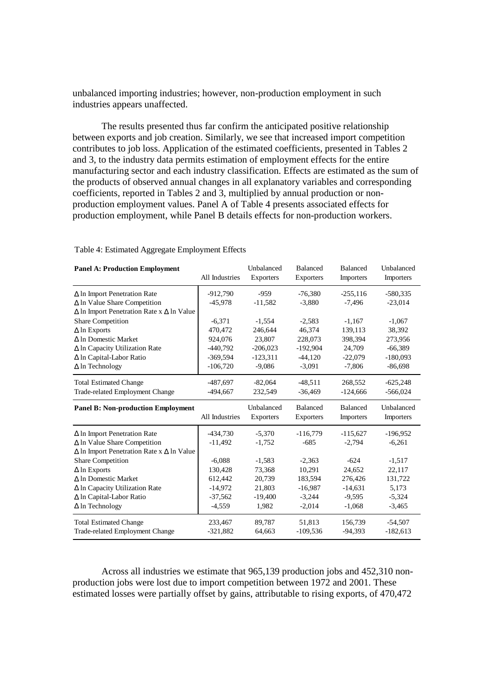unbalanced importing industries; however, non-production employment in such industries appears unaffected.

 The results presented thus far confirm the anticipated positive relationship between exports and job creation. Similarly, we see that increased import competition contributes to job loss. Application of the estimated coefficients, presented in Tables 2 and 3, to the industry data permits estimation of employment effects for the entire manufacturing sector and each industry classification. Effects are estimated as the sum of the products of observed annual changes in all explanatory variables and corresponding coefficients, reported in Tables 2 and 3, multiplied by annual production or nonproduction employment values. Panel A of Table 4 presents associated effects for production employment, while Panel B details effects for non-production workers.

#### Table 4: Estimated Aggregate Employment Effects

| <b>Panel A: Production Employment</b>                   | All Industries | Unbalanced<br>Exporters | <b>Balanced</b><br><b>Exporters</b> | <b>Balanced</b><br>Importers | <b>Unbalanced</b><br>Importers |
|---------------------------------------------------------|----------------|-------------------------|-------------------------------------|------------------------------|--------------------------------|
| $\Delta$ In Import Penetration Rate                     | $-912,790$     | $-959$                  | $-76,380$                           | $-255.116$                   | $-580.335$                     |
| $\Delta$ ln Value Share Competition                     | $-45.978$      | $-11,582$               | $-3,880$                            | $-7.496$                     | $-23,014$                      |
| $\Delta$ ln Import Penetration Rate x $\Delta$ ln Value |                |                         |                                     |                              |                                |
| <b>Share Competition</b>                                | $-6,371$       | $-1,554$                | $-2,583$                            | $-1,167$                     | $-1,067$                       |
| $\Delta$ ln Exports                                     | 470,472        | 246,644                 | 46,374                              | 139,113                      | 38,392                         |
| A In Domestic Market                                    | 924,076        | 23,807                  | 228,073                             | 398,394                      | 273,956                        |
| $\Delta$ ln Capacity Utilization Rate                   | $-440,792$     | $-206,023$              | $-192,904$                          | 24,709                       | $-66,389$                      |
| ∆ ln Capital-Labor Ratio                                | $-369,594$     | $-123,311$              | $-44,120$                           | $-22,079$                    | $-180,093$                     |
| $\Delta$ ln Technology                                  | $-106,720$     | $-9,086$                | $-3,091$                            | $-7,806$                     | $-86,698$                      |
| <b>Total Estimated Change</b>                           | $-487.697$     | $-82.064$               | $-48.511$                           | 268.552                      | $-625,248$                     |
| Trade-related Employment Change                         | $-494,667$     | 232,549                 | $-36,469$                           | $-124,666$                   | $-566,024$                     |
|                                                         |                |                         |                                     |                              |                                |
| <b>Panel B: Non-production Employment</b>               | All Industries | Unbalanced<br>Exporters | <b>Balanced</b><br><b>Exporters</b> | <b>Balanced</b><br>Importers | <b>Unbalanced</b><br>Importers |
| $\Delta$ In Import Penetration Rate                     | $-434.730$     | $-5.370$                | $-116,779$                          | $-115.627$                   | $-196.952$                     |
| $\Delta$ ln Value Share Competition                     | $-11,492$      | $-1,752$                | $-685$                              | $-2,794$                     | $-6,261$                       |
| $\Delta$ ln Import Penetration Rate x $\Delta$ ln Value |                |                         |                                     |                              |                                |
| <b>Share Competition</b>                                | $-6,088$       | $-1,583$                | $-2,363$                            | $-624$                       | $-1,517$                       |
| $\Delta$ ln Exports                                     | 130,428        | 73,368                  | 10,291                              | 24,652                       | 22,117                         |
| ∆ In Domestic Market                                    | 612,442        | 20,739                  | 183,594                             | 276,426                      | 131,722                        |
| $\Delta$ ln Capacity Utilization Rate                   | $-14,972$      | 21,803                  | $-16,987$                           | $-14,631$                    | 5,173                          |
| $\Delta$ ln Capital-Labor Ratio                         | $-37,562$      | $-19,400$               | $-3,244$                            | $-9,595$                     | $-5,324$                       |
| $\Delta$ ln Technology                                  | $-4,559$       | 1,982                   | $-2,014$                            | $-1,068$                     | $-3,465$                       |
| <b>Total Estimated Change</b>                           | 233,467        | 89,787                  | 51.813                              | 156.739                      | $-54,507$                      |

 Across all industries we estimate that 965,139 production jobs and 452,310 nonproduction jobs were lost due to import competition between 1972 and 2001. These estimated losses were partially offset by gains, attributable to rising exports, of 470,472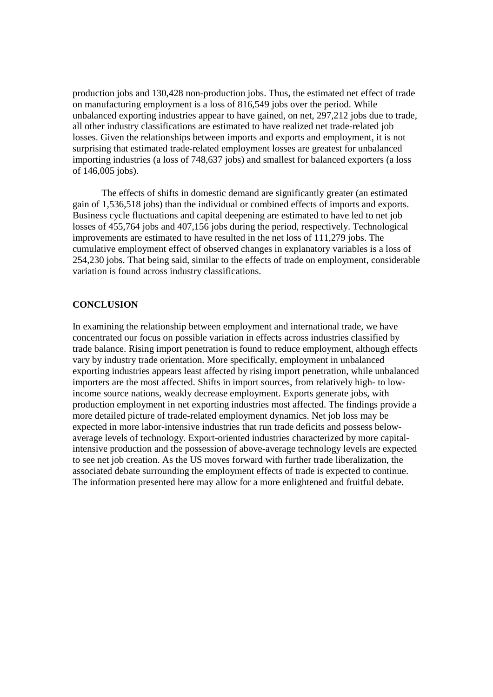production jobs and 130,428 non-production jobs. Thus, the estimated net effect of trade on manufacturing employment is a loss of 816,549 jobs over the period. While unbalanced exporting industries appear to have gained, on net, 297,212 jobs due to trade, all other industry classifications are estimated to have realized net trade-related job losses. Given the relationships between imports and exports and employment, it is not surprising that estimated trade-related employment losses are greatest for unbalanced importing industries (a loss of 748,637 jobs) and smallest for balanced exporters (a loss of 146,005 jobs).

The effects of shifts in domestic demand are significantly greater (an estimated gain of 1,536,518 jobs) than the individual or combined effects of imports and exports. Business cycle fluctuations and capital deepening are estimated to have led to net job losses of 455,764 jobs and 407,156 jobs during the period, respectively. Technological improvements are estimated to have resulted in the net loss of 111,279 jobs. The cumulative employment effect of observed changes in explanatory variables is a loss of 254,230 jobs. That being said, similar to the effects of trade on employment, considerable variation is found across industry classifications.

#### **CONCLUSION**

In examining the relationship between employment and international trade, we have concentrated our focus on possible variation in effects across industries classified by trade balance. Rising import penetration is found to reduce employment, although effects vary by industry trade orientation. More specifically, employment in unbalanced exporting industries appears least affected by rising import penetration, while unbalanced importers are the most affected. Shifts in import sources, from relatively high- to lowincome source nations, weakly decrease employment. Exports generate jobs, with production employment in net exporting industries most affected. The findings provide a more detailed picture of trade-related employment dynamics. Net job loss may be expected in more labor-intensive industries that run trade deficits and possess belowaverage levels of technology. Export-oriented industries characterized by more capitalintensive production and the possession of above-average technology levels are expected to see net job creation. As the US moves forward with further trade liberalization, the associated debate surrounding the employment effects of trade is expected to continue. The information presented here may allow for a more enlightened and fruitful debate.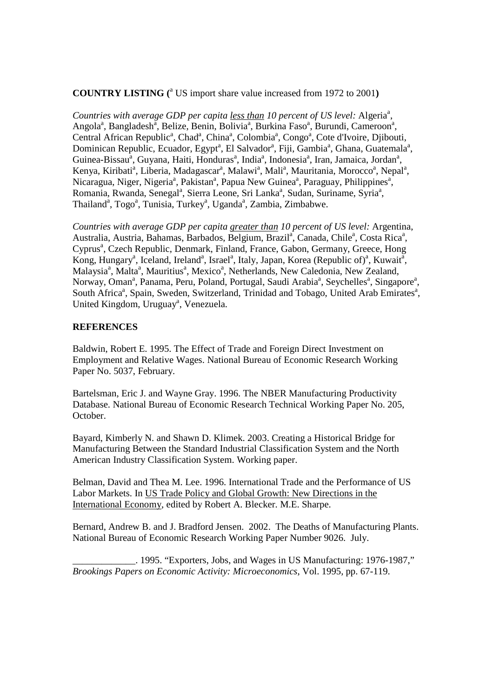# **COUNTRY LISTING (**<sup>a</sup> US import share value increased from 1972 to 2001**)**

Countries with average GDP per capita *less than* 10 percent of US level: Algeria<sup>a</sup>, Angola<sup>a</sup>, Bangladesh<sup>a</sup>, Belize, Benin, Bolivia<sup>a</sup>, Burkina Faso<sup>a</sup>, Burundi, Cameroon<sup>a</sup>, Central African Republic<sup>a</sup>, Chad<sup>a</sup>, China<sup>a</sup>, Colombia<sup>a</sup>, Congo<sup>a</sup>, Cote d'Ivoire, Djibouti, Dominican Republic, Ecuador, Egypt<sup>a</sup>, El Salvador<sup>a</sup>, Fiji, Gambia<sup>a</sup>, Ghana, Guatemala<sup>a</sup>, Guinea-Bissau<sup>a</sup>, Guyana, Haiti, Honduras<sup>a</sup>, India<sup>a</sup>, Indonesia<sup>a</sup>, Iran, Jamaica, Jordan<sup>a</sup>, Kenya, Kiribati<sup>a</sup>, Liberia, Madagascar<sup>a</sup>, Malawi<sup>a</sup>, Mali<sup>a</sup>, Mauritania, Morocco<sup>a</sup>, Nepal<sup>a</sup>, Nicaragua, Niger, Nigeria<sup>a</sup>, Pakistan<sup>a</sup>, Papua New Guinea<sup>a</sup>, Paraguay, Philippines<sup>a</sup>, Romania, Rwanda, Senegal<sup>a</sup>, Sierra Leone, Sri Lanka<sup>a</sup>, Sudan, Suriname, Syria<sup>a</sup>, Thailand<sup>a</sup>, Togo<sup>a</sup>, Tunisia, Turkey<sup>a</sup>, Uganda<sup>a</sup>, Zambia, Zimbabwe.

*Countries with average GDP per capita greater than 10 percent of US level:* Argentina, Australia, Austria, Bahamas, Barbados, Belgium, Brazil<sup>a</sup>, Canada, Chile<sup>a</sup>, Costa Rica<sup>a</sup>, Cyprus<sup>a</sup>, Czech Republic, Denmark, Finland, France, Gabon, Germany, Greece, Hong Kong, Hungary<sup>a</sup>, Iceland, Ireland<sup>a</sup>, Israel<sup>a</sup>, Italy, Japan, Korea (Republic of)<sup>a</sup>, Kuwait<sup>a</sup>, Malaysia<sup>a</sup>, Malta<sup>a</sup>, Mauritius<sup>a</sup>, Mexico<sup>a</sup>, Netherlands, New Caledonia, New Zealand, Norway, Oman<sup>a</sup>, Panama, Peru, Poland, Portugal, Saudi Arabia<sup>a</sup>, Seychelles<sup>a</sup>, Singapore<sup>a</sup>, South Africa<sup>a</sup>, Spain, Sweden, Switzerland, Trinidad and Tobago, United Arab Emirates<sup>a</sup>, United Kingdom, Uruguay<sup>a</sup>, Venezuela.

#### **REFERENCES**

Baldwin, Robert E. 1995. The Effect of Trade and Foreign Direct Investment on Employment and Relative Wages. National Bureau of Economic Research Working Paper No. 5037, February.

Bartelsman, Eric J. and Wayne Gray. 1996. The NBER Manufacturing Productivity Database. National Bureau of Economic Research Technical Working Paper No. 205, October.

Bayard, Kimberly N. and Shawn D. Klimek. 2003. Creating a Historical Bridge for Manufacturing Between the Standard Industrial Classification System and the North American Industry Classification System. Working paper.

Belman, David and Thea M. Lee. 1996. International Trade and the Performance of US Labor Markets. In US Trade Policy and Global Growth: New Directions in the International Economy, edited by Robert A. Blecker. M.E. Sharpe.

Bernard, Andrew B. and J. Bradford Jensen. 2002. The Deaths of Manufacturing Plants. National Bureau of Economic Research Working Paper Number 9026. July.

\_\_\_\_\_\_\_\_\_\_\_\_\_. 1995. "Exporters, Jobs, and Wages in US Manufacturing: 1976-1987," *Brookings Papers on Economic Activity: Microeconomics*, Vol. 1995*,* pp. 67-119.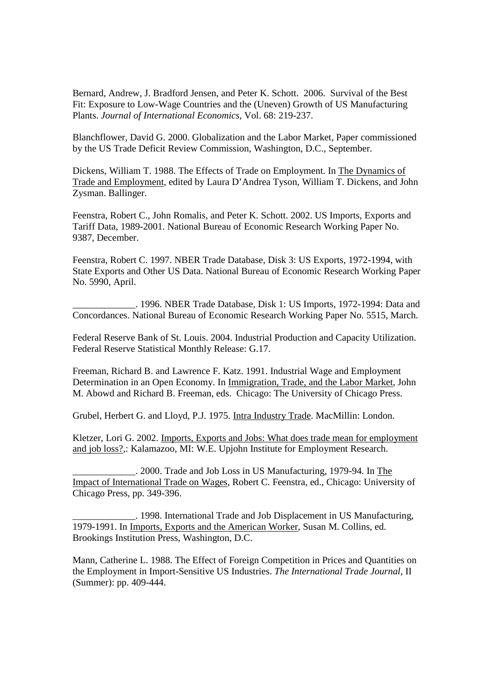Bernard, Andrew, J. Bradford Jensen, and Peter K. Schott. 2006. Survival of the Best Fit: Exposure to Low-Wage Countries and the (Uneven) Growth of US Manufacturing Plants. *Journal of International Economics*, Vol. 68: 219-237.

Blanchflower, David G. 2000. Globalization and the Labor Market, Paper commissioned by the US Trade Deficit Review Commission, Washington, D.C., September.

Dickens, William T. 1988. The Effects of Trade on Employment. In The Dynamics of Trade and Employment, edited by Laura D'Andrea Tyson, William T. Dickens, and John Zysman. Ballinger.

Feenstra, Robert C., John Romalis, and Peter K. Schott. 2002. US Imports, Exports and Tariff Data, 1989-2001. National Bureau of Economic Research Working Paper No. 9387, December.

Feenstra, Robert C. 1997. NBER Trade Database, Disk 3: US Exports, 1972-1994, with State Exports and Other US Data. National Bureau of Economic Research Working Paper No. 5990, April.

\_\_\_\_\_\_\_\_\_\_\_\_\_. 1996. NBER Trade Database, Disk 1: US Imports, 1972-1994: Data and Concordances. National Bureau of Economic Research Working Paper No. 5515, March.

Federal Reserve Bank of St. Louis. 2004. Industrial Production and Capacity Utilization. Federal Reserve Statistical Monthly Release: G.17.

Freeman, Richard B. and Lawrence F. Katz. 1991. Industrial Wage and Employment Determination in an Open Economy. In Immigration, Trade, and the Labor Market, John M. Abowd and Richard B. Freeman, eds. Chicago: The University of Chicago Press.

Grubel, Herbert G. and Lloyd, P.J. 1975. Intra Industry Trade. MacMillin: London.

Kletzer, Lori G. 2002. Imports, Exports and Jobs: What does trade mean for employment and job loss?,: Kalamazoo, MI: W.E. Upjohn Institute for Employment Research.

\_\_\_\_\_\_\_\_\_\_\_\_\_. 2000. Trade and Job Loss in US Manufacturing, 1979-94. In The Impact of International Trade on Wages, Robert C. Feenstra, ed., Chicago: University of Chicago Press, pp. 349-396.

\_\_\_\_\_\_\_\_\_\_\_\_\_. 1998. International Trade and Job Displacement in US Manufacturing, 1979-1991. In Imports, Exports and the American Worker, Susan M. Collins, ed. Brookings Institution Press, Washington, D.C.

Mann, Catherine L. 1988. The Effect of Foreign Competition in Prices and Quantities on the Employment in Import-Sensitive US Industries. *The International Trade Journal*, II (Summer): pp. 409-444.